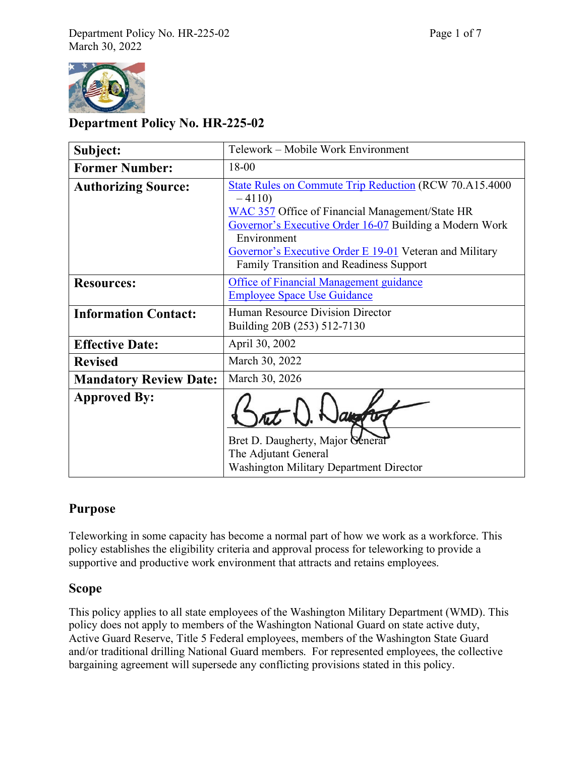

## **Department Policy No. HR-225-02**

| Subject:                      | Telework - Mobile Work Environment                                                                                                                                                                                                                                                                                 |
|-------------------------------|--------------------------------------------------------------------------------------------------------------------------------------------------------------------------------------------------------------------------------------------------------------------------------------------------------------------|
| <b>Former Number:</b>         | 18-00                                                                                                                                                                                                                                                                                                              |
| <b>Authorizing Source:</b>    | State Rules on Commute Trip Reduction (RCW 70.A15.4000<br>$-4110$<br><b>WAC 357</b> Office of Financial Management/State HR<br>Governor's Executive Order 16-07 Building a Modern Work<br>Environment<br>Governor's Executive Order E 19-01 Veteran and Military<br><b>Family Transition and Readiness Support</b> |
| <b>Resources:</b>             | <b>Office of Financial Management guidance</b><br><b>Employee Space Use Guidance</b>                                                                                                                                                                                                                               |
| <b>Information Contact:</b>   | Human Resource Division Director<br>Building 20B (253) 512-7130                                                                                                                                                                                                                                                    |
| <b>Effective Date:</b>        | April 30, 2002                                                                                                                                                                                                                                                                                                     |
| <b>Revised</b>                | March 30, 2022                                                                                                                                                                                                                                                                                                     |
| <b>Mandatory Review Date:</b> | March 30, 2026                                                                                                                                                                                                                                                                                                     |
| <b>Approved By:</b>           | Bret D. Daugherty, Major Ceneral<br>The Adjutant General<br><b>Washington Military Department Director</b>                                                                                                                                                                                                         |

# **Purpose**

Teleworking in some capacity has become a normal part of how we work as a workforce. This policy establishes the eligibility criteria and approval process for teleworking to provide a supportive and productive work environment that attracts and retains employees.

### **Scope**

This policy applies to all state employees of the Washington Military Department (WMD). This policy does not apply to members of the Washington National Guard on state active duty, Active Guard Reserve, Title 5 Federal employees, members of the Washington State Guard and/or traditional drilling National Guard members. For represented employees, the collective bargaining agreement will supersede any conflicting provisions stated in this policy.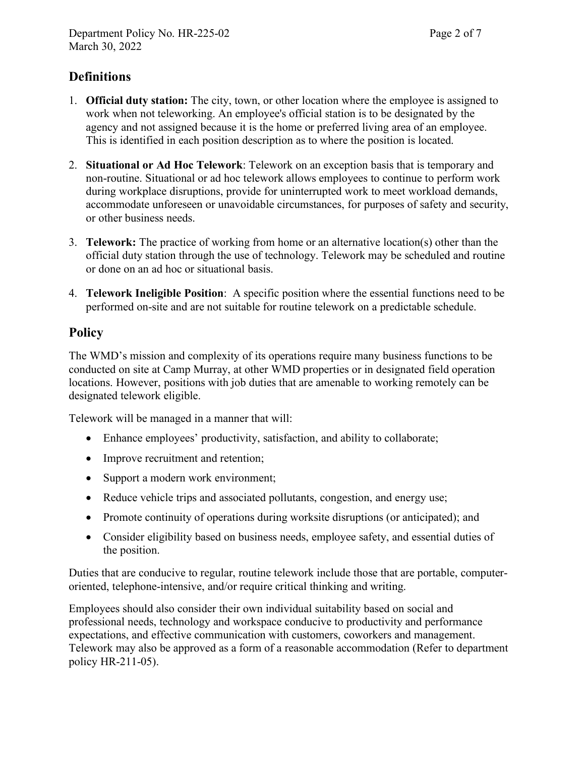## **Definitions**

- 1. **Official duty station:** The city, town, or other location where the employee is assigned to work when not teleworking. An employee's official station is to be designated by the agency and not assigned because it is the home or preferred living area of an employee. This is identified in each position description as to where the position is located.
- 2. **Situational or Ad Hoc Telework**: Telework on an exception basis that is temporary and non-routine. Situational or ad hoc telework allows employees to continue to perform work during workplace disruptions, provide for uninterrupted work to meet workload demands, accommodate unforeseen or unavoidable circumstances, for purposes of safety and security, or other business needs.
- 3. **Telework:** The practice of working from home or an alternative location(s) other than the official duty station through the use of technology. Telework may be scheduled and routine or done on an ad hoc or situational basis.
- 4. **Telework Ineligible Position**: A specific position where the essential functions need to be performed on-site and are not suitable for routine telework on a predictable schedule.

## **Policy**

The WMD's mission and complexity of its operations require many business functions to be conducted on site at Camp Murray, at other WMD properties or in designated field operation locations. However, positions with job duties that are amenable to working remotely can be designated telework eligible.

Telework will be managed in a manner that will:

- Enhance employees' productivity, satisfaction, and ability to collaborate;
- Improve recruitment and retention;
- Support a modern work environment;
- Reduce vehicle trips and associated pollutants, congestion, and energy use;
- Promote continuity of operations during worksite disruptions (or anticipated); and
- Consider eligibility based on business needs, employee safety, and essential duties of the position.

Duties that are conducive to regular, routine telework include those that are portable, computeroriented, telephone-intensive, and/or require critical thinking and writing.

Employees should also consider their own individual suitability based on social and professional needs, technology and workspace conducive to productivity and performance expectations, and effective communication with customers, coworkers and management. Telework may also be approved as a form of a reasonable accommodation (Refer to department policy HR-211-05).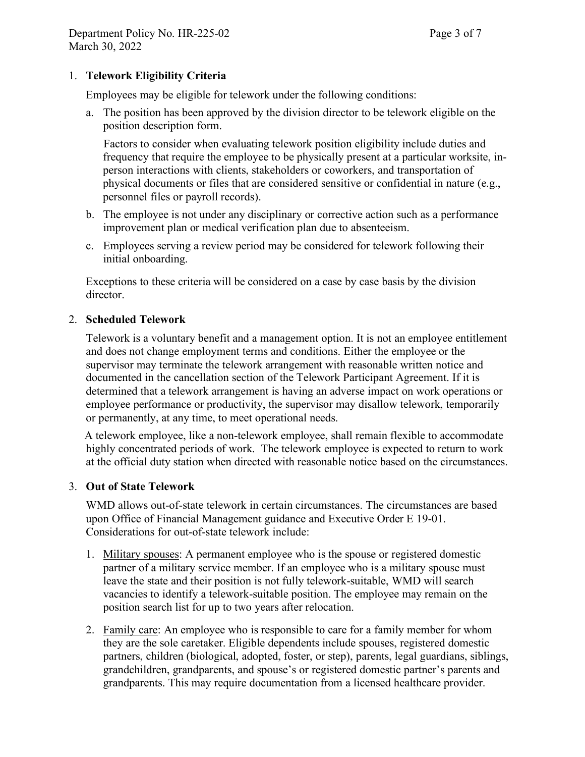### 1. **Telework Eligibility Criteria**

Employees may be eligible for telework under the following conditions:

a. The position has been approved by the division director to be telework eligible on the position description form.

Factors to consider when evaluating telework position eligibility include duties and frequency that require the employee to be physically present at a particular worksite, inperson interactions with clients, stakeholders or coworkers, and transportation of physical documents or files that are considered sensitive or confidential in nature (e.g., personnel files or payroll records).

- b. The employee is not under any disciplinary or corrective action such as a performance improvement plan or medical verification plan due to absenteeism.
- c. Employees serving a review period may be considered for telework following their initial onboarding.

Exceptions to these criteria will be considered on a case by case basis by the division director.

#### 2. **Scheduled Telework**

 Telework is a voluntary benefit and a management option. It is not an employee entitlement and does not change employment terms and conditions. Either the employee or the supervisor may terminate the telework arrangement with reasonable written notice and documented in the cancellation section of the Telework Participant Agreement. If it is determined that a telework arrangement is having an adverse impact on work operations or employee performance or productivity, the supervisor may disallow telework, temporarily or permanently, at any time, to meet operational needs.

 A telework employee, like a non-telework employee, shall remain flexible to accommodate highly concentrated periods of work. The telework employee is expected to return to work at the official duty station when directed with reasonable notice based on the circumstances.

#### 3. **Out of State Telework**

WMD allows out-of-state telework in certain circumstances. The circumstances are based upon Office of Financial Management guidance and Executive Order E 19-01. Considerations for out-of-state telework include:

- 1. Military spouses: A permanent employee who is the spouse or registered domestic partner of a military service member. If an employee who is a military spouse must leave the state and their position is not fully telework-suitable, WMD will search vacancies to identify a telework-suitable position. The employee may remain on the position search list for up to two years after relocation.
- 2. Family care: An employee who is responsible to care for a family member for whom they are the sole caretaker. Eligible dependents include spouses, registered domestic partners, children (biological, adopted, foster, or step), parents, legal guardians, siblings, grandchildren, grandparents, and spouse's or registered domestic partner's parents and grandparents. This may require documentation from a licensed healthcare provider.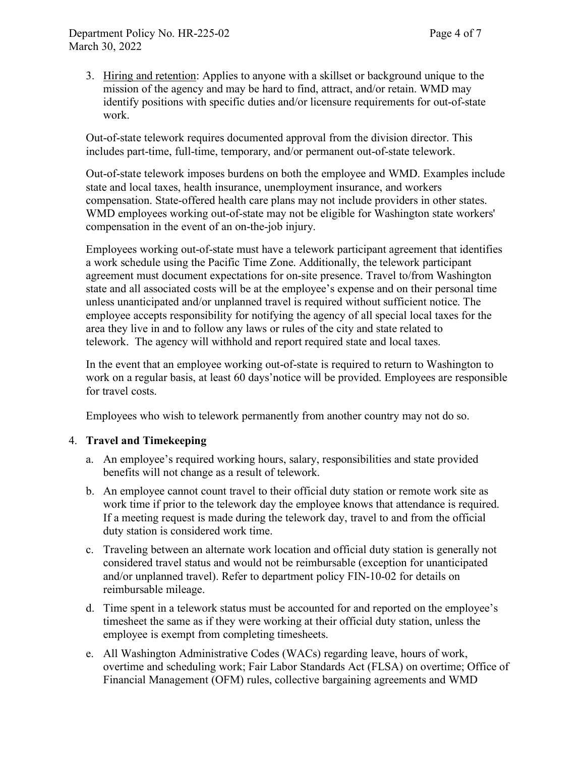3. Hiring and retention: Applies to anyone with a skillset or background unique to the mission of the agency and may be hard to find, attract, and/or retain. WMD may identify positions with specific duties and/or licensure requirements for out-of-state work.

Out-of-state telework requires documented approval from the division director. This includes part-time, full-time, temporary, and/or permanent out-of-state telework.

Out-of-state telework imposes burdens on both the employee and WMD. Examples include state and local taxes, health insurance, unemployment insurance, and workers compensation. State-offered health care plans may not include providers in other states. WMD employees working out-of-state may not be eligible for Washington state workers' compensation in the event of an on-the-job injury.

Employees working out-of-state must have a telework participant agreement that identifies a work schedule using the Pacific Time Zone. Additionally, the telework participant agreement must document expectations for on-site presence. Travel to/from Washington state and all associated costs will be at the employee's expense and on their personal time unless unanticipated and/or unplanned travel is required without sufficient notice. The employee accepts responsibility for notifying the agency of all special local taxes for the area they live in and to follow any laws or rules of the city and state related to telework. The agency will withhold and report required state and local taxes.

In the event that an employee working out-of-state is required to return to Washington to work on a regular basis, at least 60 days'notice will be provided. Employees are responsible for travel costs.

Employees who wish to telework permanently from another country may not do so.

### 4. **Travel and Timekeeping**

- a. An employee's required working hours, salary, responsibilities and state provided benefits will not change as a result of telework.
- b. An employee cannot count travel to their official duty station or remote work site as work time if prior to the telework day the employee knows that attendance is required. If a meeting request is made during the telework day, travel to and from the official duty station is considered work time.
- c. Traveling between an alternate work location and official duty station is generally not considered travel status and would not be reimbursable (exception for unanticipated and/or unplanned travel). Refer to department policy FIN-10-02 for details on reimbursable mileage.
- d. Time spent in a telework status must be accounted for and reported on the employee's timesheet the same as if they were working at their official duty station, unless the employee is exempt from completing timesheets.
- e. All Washington Administrative Codes (WACs) regarding leave, hours of work, overtime and scheduling work; Fair Labor Standards Act (FLSA) on overtime; Office of Financial Management (OFM) rules, collective bargaining agreements and WMD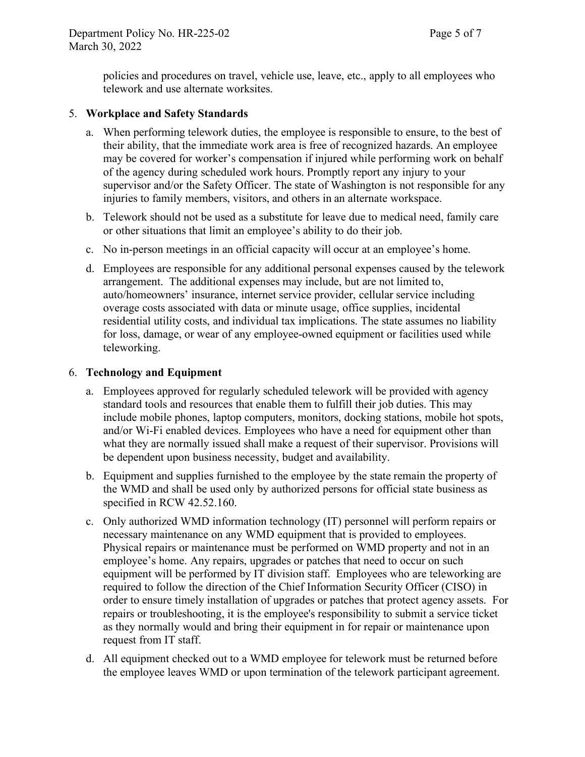policies and procedures on travel, vehicle use, leave, etc., apply to all employees who telework and use alternate worksites.

#### 5. **Workplace and Safety Standards**

- a. When performing telework duties, the employee is responsible to ensure, to the best of their ability, that the immediate work area is free of recognized hazards. An employee may be covered for worker's compensation if injured while performing work on behalf of the agency during scheduled work hours. Promptly report any injury to your supervisor and/or the Safety Officer. The state of Washington is not responsible for any injuries to family members, visitors, and others in an alternate workspace.
- b. Telework should not be used as a substitute for leave due to medical need, family care or other situations that limit an employee's ability to do their job.
- c. No in-person meetings in an official capacity will occur at an employee's home.
- d. Employees are responsible for any additional personal expenses caused by the telework arrangement. The additional expenses may include, but are not limited to, auto/homeowners' insurance, internet service provider, cellular service including overage costs associated with data or minute usage, office supplies, incidental residential utility costs, and individual tax implications. The state assumes no liability for loss, damage, or wear of any employee-owned equipment or facilities used while teleworking.

#### 6. **Technology and Equipment**

- a. Employees approved for regularly scheduled telework will be provided with agency standard tools and resources that enable them to fulfill their job duties. This may include mobile phones, laptop computers, monitors, docking stations, mobile hot spots, and/or Wi-Fi enabled devices. Employees who have a need for equipment other than what they are normally issued shall make a request of their supervisor. Provisions will be dependent upon business necessity, budget and availability.
- b. Equipment and supplies furnished to the employee by the state remain the property of the WMD and shall be used only by authorized persons for official state business as specified in RCW 42.52.160.
- c. Only authorized WMD information technology (IT) personnel will perform repairs or necessary maintenance on any WMD equipment that is provided to employees. Physical repairs or maintenance must be performed on WMD property and not in an employee's home. Any repairs, upgrades or patches that need to occur on such equipment will be performed by IT division staff. Employees who are teleworking are required to follow the direction of the Chief Information Security Officer (CISO) in order to ensure timely installation of upgrades or patches that protect agency assets. For repairs or troubleshooting, it is the employee's responsibility to submit a service ticket as they normally would and bring their equipment in for repair or maintenance upon request from IT staff.
- d. All equipment checked out to a WMD employee for telework must be returned before the employee leaves WMD or upon termination of the telework participant agreement.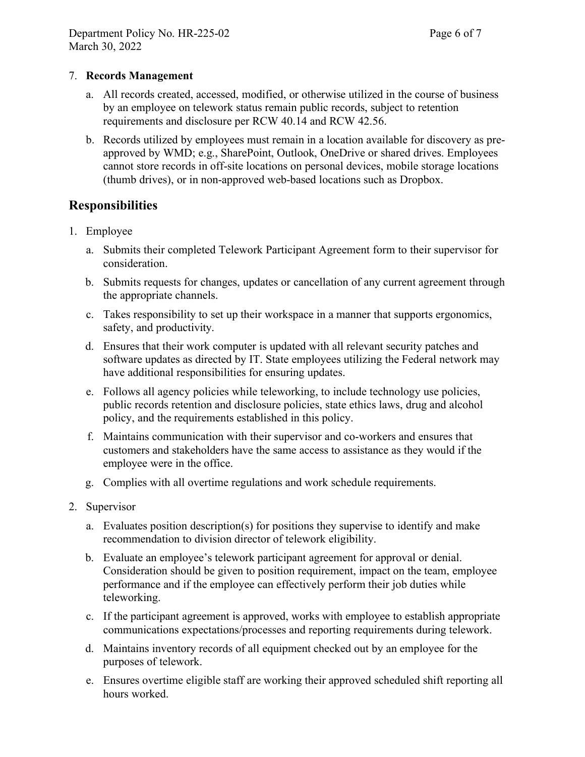### 7. **Records Management**

- a. All records created, accessed, modified, or otherwise utilized in the course of business by an employee on telework status remain public records, subject to retention requirements and disclosure per RCW 40.14 and RCW 42.56.
- b. Records utilized by employees must remain in a location available for discovery as preapproved by WMD; e.g., SharePoint, Outlook, OneDrive or shared drives. Employees cannot store records in off-site locations on personal devices, mobile storage locations (thumb drives), or in non-approved web-based locations such as Dropbox.

## **Responsibilities**

- 1. Employee
	- a. Submits their completed Telework Participant Agreement form to their supervisor for consideration.
	- b. Submits requests for changes, updates or cancellation of any current agreement through the appropriate channels.
	- c. Takes responsibility to set up their workspace in a manner that supports ergonomics, safety, and productivity.
	- d. Ensures that their work computer is updated with all relevant security patches and software updates as directed by IT. State employees utilizing the Federal network may have additional responsibilities for ensuring updates.
	- e. Follows all agency policies while teleworking, to include technology use policies, public records retention and disclosure policies, state ethics laws, drug and alcohol policy, and the requirements established in this policy.
	- f. Maintains communication with their supervisor and co-workers and ensures that customers and stakeholders have the same access to assistance as they would if the employee were in the office.
	- g. Complies with all overtime regulations and work schedule requirements.
- 2. Supervisor
	- a. Evaluates position description(s) for positions they supervise to identify and make recommendation to division director of telework eligibility.
	- b. Evaluate an employee's telework participant agreement for approval or denial. Consideration should be given to position requirement, impact on the team, employee performance and if the employee can effectively perform their job duties while teleworking.
	- c. If the participant agreement is approved, works with employee to establish appropriate communications expectations/processes and reporting requirements during telework.
	- d. Maintains inventory records of all equipment checked out by an employee for the purposes of telework.
	- e. Ensures overtime eligible staff are working their approved scheduled shift reporting all hours worked.